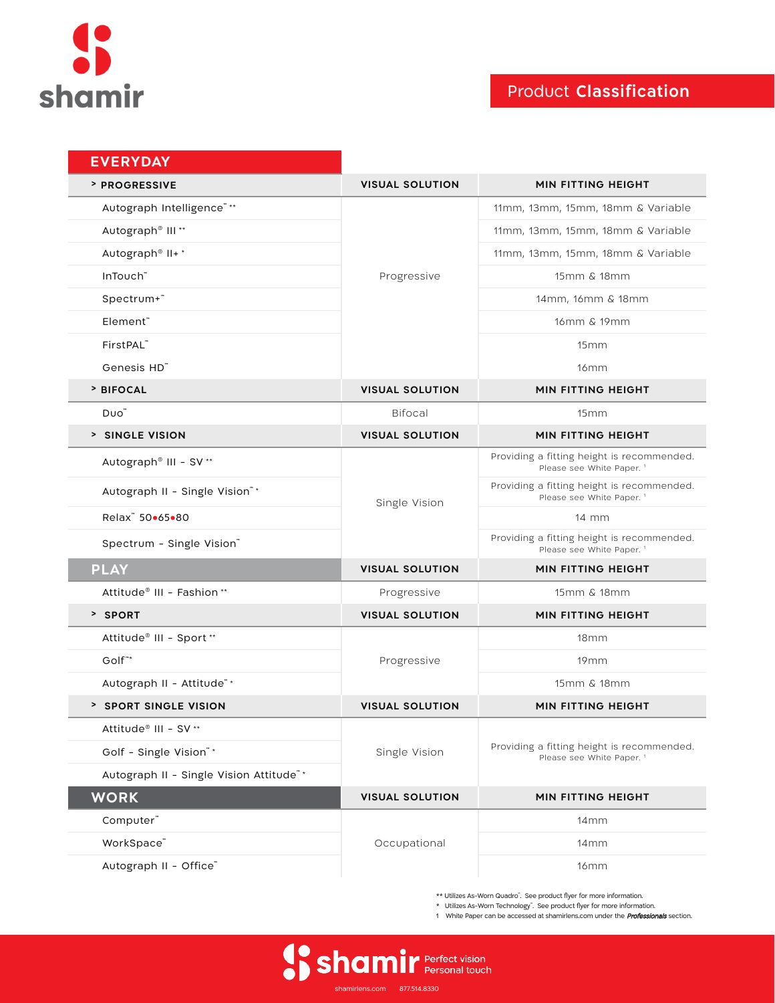

# Product **Classification**

| <b>EVERYDAY</b>                         |                        |                                                                                    |
|-----------------------------------------|------------------------|------------------------------------------------------------------------------------|
| <b>&gt; PROGRESSIVE</b>                 | <b>VISUAL SOLUTION</b> | <b>MIN FITTING HEIGHT</b>                                                          |
| Autograph Intelligence"**               | Progressive            | 11mm, 13mm, 15mm, 18mm & Variable                                                  |
| Autograph® III**                        |                        | 11mm, 13mm, 15mm, 18mm & Variable                                                  |
| Autograph® II+*                         |                        | 11mm, 13mm, 15mm, 18mm & Variable                                                  |
| InTouch"                                |                        | 15mm & 18mm                                                                        |
| Spectrum+"                              |                        | 14mm, 16mm & 18mm                                                                  |
| Element"                                |                        | 16mm & 19mm                                                                        |
| FirstPAL"                               |                        | 15mm                                                                               |
| Genesis HD"                             |                        | 16mm                                                                               |
| > BIFOCAL                               | <b>VISUAL SOLUTION</b> | <b>MIN FITTING HEIGHT</b>                                                          |
| Duo"                                    | <b>Bifocal</b>         | 15mm                                                                               |
| > SINGLE VISION                         | <b>VISUAL SOLUTION</b> | <b>MIN FITTING HEIGHT</b>                                                          |
| Autograph® III - SV <sup>**</sup>       | Single Vision          | Providing a fitting height is recommended.<br>Please see White Paper. <sup>1</sup> |
| Autograph II - Single Vision"*          |                        | Providing a fitting height is recommended.<br>Please see White Paper. <sup>1</sup> |
| Relax" 50.65.80                         |                        | $14 \, \text{mm}$                                                                  |
| Spectrum - Single Vision"               |                        | Providing a fitting height is recommended.<br>Please see White Paper. <sup>1</sup> |
| <b>PLAY</b>                             | <b>VISUAL SOLUTION</b> | <b>MIN FITTING HEIGHT</b>                                                          |
| Attitude <sup>®</sup> III - Fashion **  | Progressive            | 15mm & 18mm                                                                        |
| > SPORT                                 | <b>VISUAL SOLUTION</b> | <b>MIN FITTING HEIGHT</b>                                                          |
| Attitude® III - Sport **                | Progressive            | 18 <sub>mm</sub>                                                                   |
| Golf <sup>**</sup>                      |                        | 19 <sub>mm</sub>                                                                   |
| Autograph II - Attitude"*               |                        | 15mm & 18mm                                                                        |
| <b>&gt; SPORT SINGLE VISION</b>         | <b>VISUAL SOLUTION</b> | <b>MIN FITTING HEIGHT</b>                                                          |
| Attitude <sup>®</sup> III - SV **       | Single Vision          | Providing a fitting height is recommended.<br>Please see White Paper. <sup>1</sup> |
| Golf - Single Vision"*                  |                        |                                                                                    |
| Autograph II - Single Vision Attitude"* |                        |                                                                                    |
| <b>WORK</b>                             | <b>VISUAL SOLUTION</b> | MIN FITTING HEIGHT                                                                 |
| Computer"                               | Occupational           | 14 <sub>mm</sub>                                                                   |
| WorkSpace"                              |                        | 14mm                                                                               |
| Autograph II - Office"                  |                        | 16mm                                                                               |

\*\* Utilizes As-Worn Quadro™ . See product flyer for more information.

\* Utilizes As-Worn Technology". See product flyer for more information.

1 White Paper can be accessed at shamirlens.com under the **Professionals** section.